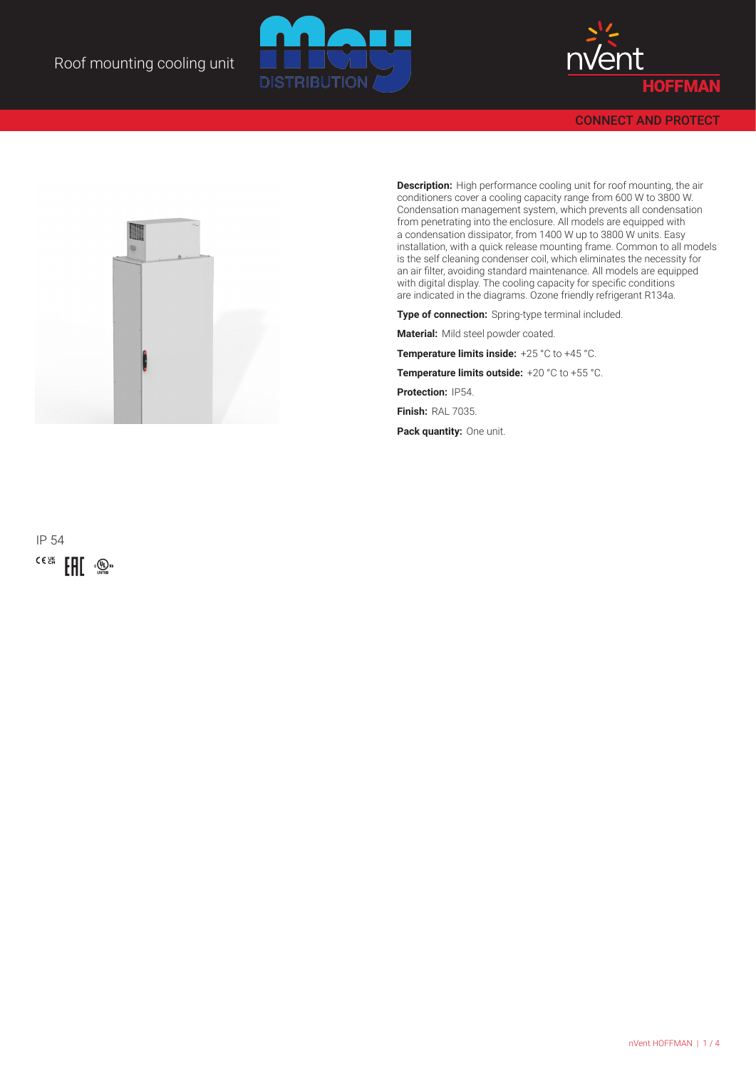



CONNECT AND PROTECT



**Description:** High performance cooling unit for roof mounting, the air conditioners cover a cooling capacity range from 600 W to 3800 W. Condensation management system, which prevents all condensation from penetrating into the enclosure. All models are equipped with a condensation dissipator, from 1400 W up to 3800 W units. Easy installation, with a quick release mounting frame. Common to all models is the self cleaning condenser coil, which eliminates the necessity for an air filter, avoiding standard maintenance. All models are equipped with digital display. The cooling capacity for specific conditions are indicated in the diagrams. Ozone friendly refrigerant R134a.

**Type of connection:** Spring-type terminal included.

**Material:** Mild steel powder coated.

**Temperature limits inside:** +25 °C to +45 °C.

**Temperature limits outside:** +20 °C to +55 °C.

**Protection:** IP54. **Finish:** RAL 7035.

**Pack quantity:** One unit.

IP 54  $\bigoplus_{\text{sum}} c \in \mathbb{Z}_{\geq 0}^{\text{max}}$